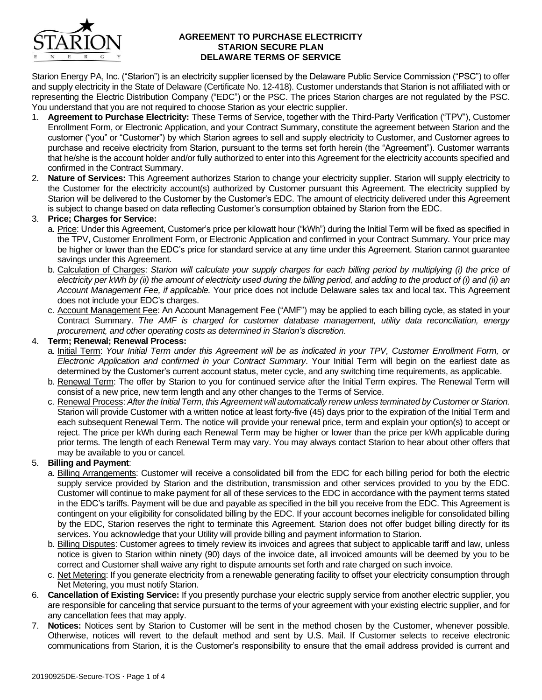

#### **AGREEMENT TO PURCHASE ELECTRICITY STARION SECURE PLAN DELAWARE TERMS OF SERVICE**

Starion Energy PA, Inc. ("Starion") is an electricity supplier licensed by the Delaware Public Service Commission ("PSC") to offer and supply electricity in the State of Delaware (Certificate No. 12-418). Customer understands that Starion is not affiliated with or representing the Electric Distribution Company ("EDC") or the PSC. The prices Starion charges are not regulated by the PSC. You understand that you are not required to choose Starion as your electric supplier.

- 1. **Agreement to Purchase Electricity:** These Terms of Service, together with the Third-Party Verification ("TPV"), Customer Enrollment Form, or Electronic Application, and your Contract Summary, constitute the agreement between Starion and the customer ("you" or "Customer") by which Starion agrees to sell and supply electricity to Customer, and Customer agrees to purchase and receive electricity from Starion, pursuant to the terms set forth herein (the "Agreement"). Customer warrants that he/she is the account holder and/or fully authorized to enter into this Agreement for the electricity accounts specified and confirmed in the Contract Summary.
- 2. **Nature of Services:** This Agreement authorizes Starion to change your electricity supplier. Starion will supply electricity to the Customer for the electricity account(s) authorized by Customer pursuant this Agreement. The electricity supplied by Starion will be delivered to the Customer by the Customer's EDC. The amount of electricity delivered under this Agreement is subject to change based on data reflecting Customer's consumption obtained by Starion from the EDC.

# 3. **Price; Charges for Service:**

- a. Price: Under this Agreement, Customer's price per kilowatt hour ("kWh") during the Initial Term will be fixed as specified in the TPV, Customer Enrollment Form, or Electronic Application and confirmed in your Contract Summary. Your price may be higher or lower than the EDC's price for standard service at any time under this Agreement. Starion cannot guarantee savings under this Agreement.
- b. Calculation of Charges: *Starion will calculate your supply charges for each billing period by multiplying (i) the price of electricity per kWh by (ii) the amount of electricity used during the billing period, and adding to the product of (i) and (ii) an Account Management Fee, if applicable.* Your price does not include Delaware sales tax and local tax. This Agreement does not include your EDC's charges.
- c. Account Management Fee: An Account Management Fee ("AMF") may be applied to each billing cycle, as stated in your Contract Summary. *The AMF is charged for customer database management, utility data reconciliation, energy procurement, and other operating costs as determined in Starion's discretion*.

### 4. **Term; Renewal; Renewal Process:**

- a. Initial Term: *Your Initial Term under this Agreement will be as indicated in your TPV, Customer Enrollment Form, or Electronic Application and confirmed in your Contract Summary*. Your Initial Term will begin on the earliest date as determined by the Customer's current account status, meter cycle, and any switching time requirements, as applicable.
- b. Renewal Term: The offer by Starion to you for continued service after the Initial Term expires. The Renewal Term will consist of a new price, new term length and any other changes to the Terms of Service.
- c. Renewal Process: *After the Initial Term, this Agreement will automatically renew unless terminated by Customer or Starion.*  Starion will provide Customer with a written notice at least forty-five (45) days prior to the expiration of the Initial Term and each subsequent Renewal Term. The notice will provide your renewal price, term and explain your option(s) to accept or reject. The price per kWh during each Renewal Term may be higher or lower than the price per kWh applicable during prior terms. The length of each Renewal Term may vary. You may always contact Starion to hear about other offers that may be available to you or cancel.

# 5. **Billing and Payment**:

- a. Billing Arrangements: Customer will receive a consolidated bill from the EDC for each billing period for both the electric supply service provided by Starion and the distribution, transmission and other services provided to you by the EDC. Customer will continue to make payment for all of these services to the EDC in accordance with the payment terms stated in the EDC's tariffs. Payment will be due and payable as specified in the bill you receive from the EDC. This Agreement is contingent on your eligibility for consolidated billing by the EDC. If your account becomes ineligible for consolidated billing by the EDC, Starion reserves the right to terminate this Agreement. Starion does not offer budget billing directly for its services. You acknowledge that your Utility will provide billing and payment information to Starion.
- b. Billing Disputes: Customer agrees to timely review its invoices and agrees that subject to applicable tariff and law, unless notice is given to Starion within ninety (90) days of the invoice date, all invoiced amounts will be deemed by you to be correct and Customer shall waive any right to dispute amounts set forth and rate charged on such invoice.
- c. Net Metering: If you generate electricity from a renewable generating facility to offset your electricity consumption through Net Metering, you must notify Starion.
- 6. **Cancellation of Existing Service:** If you presently purchase your electric supply service from another electric supplier, you are responsible for canceling that service pursuant to the terms of your agreement with your existing electric supplier, and for any cancellation fees that may apply.
- 7. **Notices:** Notices sent by Starion to Customer will be sent in the method chosen by the Customer, whenever possible. Otherwise, notices will revert to the default method and sent by U.S. Mail. If Customer selects to receive electronic communications from Starion, it is the Customer's responsibility to ensure that the email address provided is current and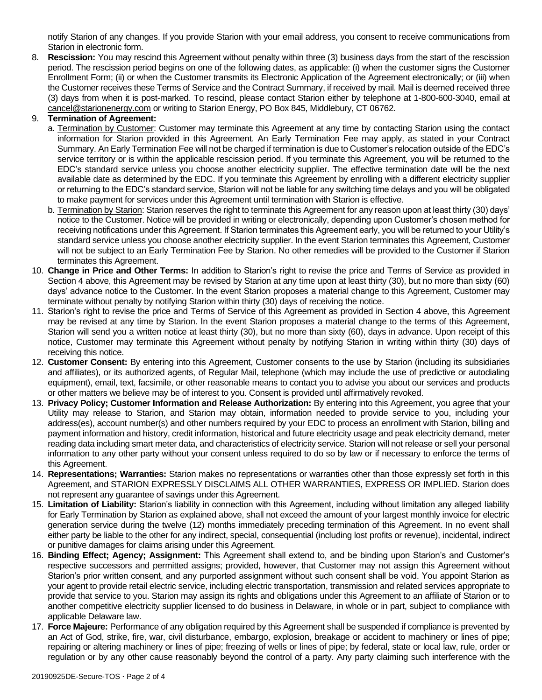notify Starion of any changes. If you provide Starion with your email address, you consent to receive communications from Starion in electronic form.

8. **Rescission:** You may rescind this Agreement without penalty within three (3) business days from the start of the rescission period. The rescission period begins on one of the following dates, as applicable: (i) when the customer signs the Customer Enrollment Form; (ii) or when the Customer transmits its Electronic Application of the Agreement electronically; or (iii) when the Customer receives these Terms of Service and the Contract Summary, if received by mail. Mail is deemed received three (3) days from when it is post-marked. To rescind, please contact Starion either by telephone at 1-800-600-3040, email at cancel@starionenergy.com or writing to Starion Energy, PO Box 845, Middlebury, CT 06762.

## 9. **Termination of Agreement:**

- a. Termination by Customer: Customer may terminate this Agreement at any time by contacting Starion using the contact information for Starion provided in this Agreement. An Early Termination Fee may apply, as stated in your Contract Summary. An Early Termination Fee will not be charged if termination is due to Customer's relocation outside of the EDC's service territory or is within the applicable rescission period. If you terminate this Agreement, you will be returned to the EDC's standard service unless you choose another electricity supplier. The effective termination date will be the next available date as determined by the EDC. If you terminate this Agreement by enrolling with a different electricity supplier or returning to the EDC's standard service, Starion will not be liable for any switching time delays and you will be obligated to make payment for services under this Agreement until termination with Starion is effective.
- b. Termination by Starion: Starion reserves the right to terminate this Agreement for any reason upon at least thirty (30) days' notice to the Customer. Notice will be provided in writing or electronically, depending upon Customer's chosen method for receiving notifications under this Agreement. If Starion terminates this Agreement early, you will be returned to your Utility's standard service unless you choose another electricity supplier. In the event Starion terminates this Agreement, Customer will not be subject to an Early Termination Fee by Starion. No other remedies will be provided to the Customer if Starion terminates this Agreement.
- 10. **Change in Price and Other Terms:** In addition to Starion's right to revise the price and Terms of Service as provided in Section 4 above, this Agreement may be revised by Starion at any time upon at least thirty (30), but no more than sixty (60) days' advance notice to the Customer. In the event Starion proposes a material change to this Agreement, Customer may terminate without penalty by notifying Starion within thirty (30) days of receiving the notice.
- 11. Starion's right to revise the price and Terms of Service of this Agreement as provided in Section 4 above, this Agreement may be revised at any time by Starion. In the event Starion proposes a material change to the terms of this Agreement, Starion will send you a written notice at least thirty (30), but no more than sixty (60), days in advance. Upon receipt of this notice, Customer may terminate this Agreement without penalty by notifying Starion in writing within thirty (30) days of receiving this notice.
- 12. **Customer Consent:** By entering into this Agreement, Customer consents to the use by Starion (including its subsidiaries and affiliates), or its authorized agents, of Regular Mail, telephone (which may include the use of predictive or autodialing equipment), email, text, facsimile, or other reasonable means to contact you to advise you about our services and products or other matters we believe may be of interest to you. Consent is provided until affirmatively revoked.
- 13. **Privacy Policy; Customer Information and Release Authorization:** By entering into this Agreement, you agree that your Utility may release to Starion, and Starion may obtain, information needed to provide service to you, including your address(es), account number(s) and other numbers required by your EDC to process an enrollment with Starion, billing and payment information and history, credit information, historical and future electricity usage and peak electricity demand, meter reading data including smart meter data, and characteristics of electricity service. Starion will not release or sell your personal information to any other party without your consent unless required to do so by law or if necessary to enforce the terms of this Agreement.
- 14. **Representations; Warranties:** Starion makes no representations or warranties other than those expressly set forth in this Agreement, and STARION EXPRESSLY DISCLAIMS ALL OTHER WARRANTIES, EXPRESS OR IMPLIED. Starion does not represent any guarantee of savings under this Agreement.
- 15. **Limitation of Liability:** Starion's liability in connection with this Agreement, including without limitation any alleged liability for Early Termination by Starion as explained above, shall not exceed the amount of your largest monthly invoice for electric generation service during the twelve (12) months immediately preceding termination of this Agreement. In no event shall either party be liable to the other for any indirect, special, consequential (including lost profits or revenue), incidental, indirect or punitive damages for claims arising under this Agreement.
- 16. **Binding Effect; Agency; Assignment:** This Agreement shall extend to, and be binding upon Starion's and Customer's respective successors and permitted assigns; provided, however, that Customer may not assign this Agreement without Starion's prior written consent, and any purported assignment without such consent shall be void. You appoint Starion as your agent to provide retail electric service, including electric transportation, transmission and related services appropriate to provide that service to you. Starion may assign its rights and obligations under this Agreement to an affiliate of Starion or to another competitive electricity supplier licensed to do business in Delaware, in whole or in part, subject to compliance with applicable Delaware law.
- 17. **Force Majeure:** Performance of any obligation required by this Agreement shall be suspended if compliance is prevented by an Act of God, strike, fire, war, civil disturbance, embargo, explosion, breakage or accident to machinery or lines of pipe; repairing or altering machinery or lines of pipe; freezing of wells or lines of pipe; by federal, state or local law, rule, order or regulation or by any other cause reasonably beyond the control of a party. Any party claiming such interference with the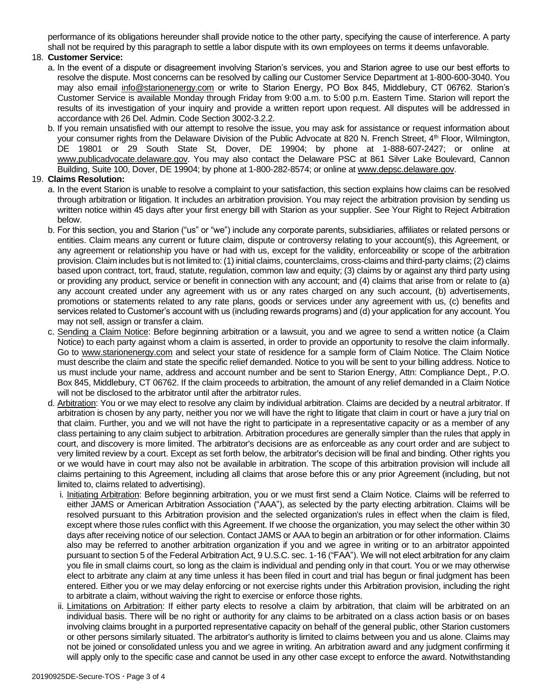performance of its obligations hereunder shall provide notice to the other party, specifying the cause of interference. A party shall not be required by this paragraph to settle a labor dispute with its own employees on terms it deems unfavorable.

# 18. **Customer Service:**

- a. In the event of a dispute or disagreement involving Starion's services, you and Starion agree to use our best efforts to resolve the dispute. Most concerns can be resolved by calling our Customer Service Department at 1-800-600-3040. You may also email info@starionenergy.com or write to Starion Energy, PO Box 845, Middlebury, CT 06762. Starion's Customer Service is available Monday through Friday from 9:00 a.m. to 5:00 p.m. Eastern Time. Starion will report the results of its investigation of your inquiry and provide a written report upon request. All disputes will be addressed in accordance with 26 Del. Admin. Code Section 3002-3.2.2.
- b. If you remain unsatisfied with our attempt to resolve the issue, you may ask for assistance or request information about your consumer rights from the Delaware Division of the Public Advocate at 820 N. French Street, 4<sup>th</sup> Floor, Wilmington, DE 19801 or 29 South State St, Dover, DE 19904; by phone at 1-888-607-2427; or online at www.publicadvocate.delaware.gov. You may also contact the Delaware PSC at 861 Silver Lake Boulevard, Cannon Building, Suite 100, Dover, DE 19904; by phone at 1-800-282-8574; or online at www.depsc.delaware.gov.

#### 19. **Claims Resolution:**

- a. In the event Starion is unable to resolve a complaint to your satisfaction, this section explains how claims can be resolved through arbitration or litigation. It includes an arbitration provision. You may reject the arbitration provision by sending us written notice within 45 days after your first energy bill with Starion as your supplier. See Your Right to Reject Arbitration below.
- b. For this section, you and Starion ("us" or "we") include any corporate parents, subsidiaries, affiliates or related persons or entities. Claim means any current or future claim, dispute or controversy relating to your account(s), this Agreement, or any agreement or relationship you have or had with us, except for the validity, enforceability or scope of the arbitration provision. Claim includes but is not limited to: (1) initial claims, counterclaims, cross-claims and third-party claims; (2) claims based upon contract, tort, fraud, statute, regulation, common law and equity; (3) claims by or against any third party using or providing any product, service or benefit in connection with any account; and (4) claims that arise from or relate to (a) any account created under any agreement with us or any rates charged on any such account, (b) advertisements, promotions or statements related to any rate plans, goods or services under any agreement with us, (c) benefits and services related to Customer's account with us (including rewards programs) and (d) your application for any account. You may not sell, assign or transfer a claim.
- c. Sending a Claim Notice: Before beginning arbitration or a lawsuit, you and we agree to send a written notice (a Claim Notice) to each party against whom a claim is asserted, in order to provide an opportunity to resolve the claim informally. Go to www.starionenergy.com and select your state of residence for a sample form of Claim Notice. The Claim Notice must describe the claim and state the specific relief demanded. Notice to you will be sent to your billing address. Notice to us must include your name, address and account number and be sent to Starion Energy, Attn: Compliance Dept., P.O. Box 845, Middlebury, CT 06762. If the claim proceeds to arbitration, the amount of any relief demanded in a Claim Notice will not be disclosed to the arbitrator until after the arbitrator rules.
- d. Arbitration: You or we may elect to resolve any claim by individual arbitration. Claims are decided by a neutral arbitrator. If arbitration is chosen by any party, neither you nor we will have the right to litigate that claim in court or have a jury trial on that claim. Further, you and we will not have the right to participate in a representative capacity or as a member of any class pertaining to any claim subject to arbitration. Arbitration procedures are generally simpler than the rules that apply in court, and discovery is more limited. The arbitrator's decisions are as enforceable as any court order and are subject to very limited review by a court. Except as set forth below, the arbitrator's decision will be final and binding. Other rights you or we would have in court may also not be available in arbitration. The scope of this arbitration provision will include all claims pertaining to this Agreement, including all claims that arose before this or any prior Agreement (including, but not limited to, claims related to advertising).
	- i. Initiating Arbitration: Before beginning arbitration, you or we must first send a Claim Notice. Claims will be referred to either JAMS or American Arbitration Association ("AAA"), as selected by the party electing arbitration. Claims will be resolved pursuant to this Arbitration provision and the selected organization's rules in effect when the claim is filed, except where those rules conflict with this Agreement. If we choose the organization, you may select the other within 30 days after receiving notice of our selection. Contact JAMS or AAA to begin an arbitration or for other information. Claims also may be referred to another arbitration organization if you and we agree in writing or to an arbitrator appointed pursuant to section 5 of the Federal Arbitration Act, 9 U.S.C. sec. 1-16 ("FAA"). We will not elect arbitration for any claim you file in small claims court, so long as the claim is individual and pending only in that court. You or we may otherwise elect to arbitrate any claim at any time unless it has been filed in court and trial has begun or final judgment has been entered. Either you or we may delay enforcing or not exercise rights under this Arbitration provision, including the right to arbitrate a claim, without waiving the right to exercise or enforce those rights.
	- ii. Limitations on Arbitration: If either party elects to resolve a claim by arbitration, that claim will be arbitrated on an individual basis. There will be no right or authority for any claims to be arbitrated on a class action basis or on bases involving claims brought in a purported representative capacity on behalf of the general public, other Starion customers or other persons similarly situated. The arbitrator's authority is limited to claims between you and us alone. Claims may not be joined or consolidated unless you and we agree in writing. An arbitration award and any judgment confirming it will apply only to the specific case and cannot be used in any other case except to enforce the award. Notwithstanding